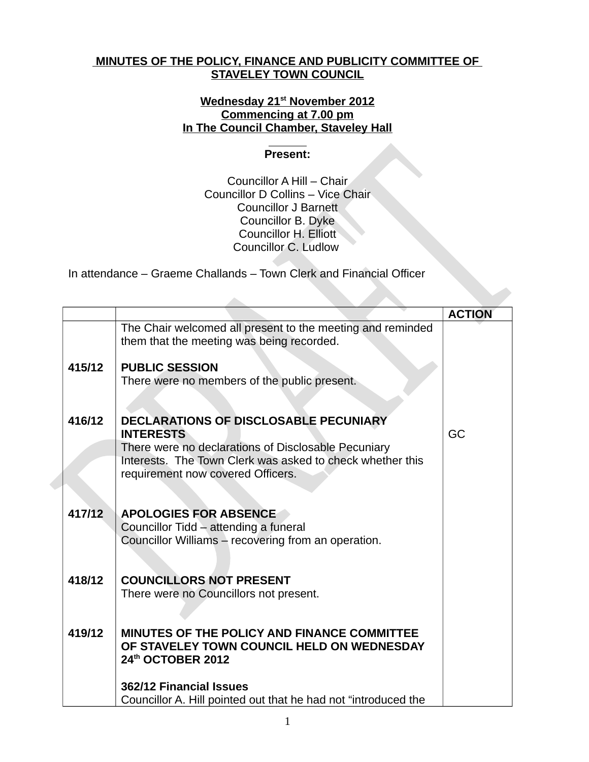## **MINUTES OF THE POLICY, FINANCE AND PUBLICITY COMMITTEE OF STAVELEY TOWN COUNCIL**

## **Wednesday 21st November 2012 Commencing at 7.00 pm In The Council Chamber, Staveley Hall**

## **Present:**

Councillor A Hill – Chair Councillor D Collins – Vice Chair Councillor J Barnett Councillor B. Dyke Councillor H. Elliott Councillor C. Ludlow

In attendance – Graeme Challands – Town Clerk and Financial Officer

|        |                                                                                                                                                                                                                           | <b>ACTION</b> |
|--------|---------------------------------------------------------------------------------------------------------------------------------------------------------------------------------------------------------------------------|---------------|
|        | The Chair welcomed all present to the meeting and reminded<br>them that the meeting was being recorded.                                                                                                                   |               |
| 415/12 | <b>PUBLIC SESSION</b><br>There were no members of the public present.                                                                                                                                                     |               |
| 416/12 | <b>DECLARATIONS OF DISCLOSABLE PECUNIARY</b><br><b>INTERESTS</b><br>There were no declarations of Disclosable Pecuniary<br>Interests. The Town Clerk was asked to check whether this<br>requirement now covered Officers. | GC            |
| 417/12 | <b>APOLOGIES FOR ABSENCE</b><br>Councillor Tidd - attending a funeral<br>Councillor Williams - recovering from an operation.                                                                                              |               |
| 418/12 | <b>COUNCILLORS NOT PRESENT</b><br>There were no Councillors not present.                                                                                                                                                  |               |
| 419/12 | MINUTES OF THE POLICY AND FINANCE COMMITTEE<br>OF STAVELEY TOWN COUNCIL HELD ON WEDNESDAY<br>24th OCTOBER 2012                                                                                                            |               |
|        | 362/12 Financial Issues<br>Councillor A. Hill pointed out that he had not "introduced the                                                                                                                                 |               |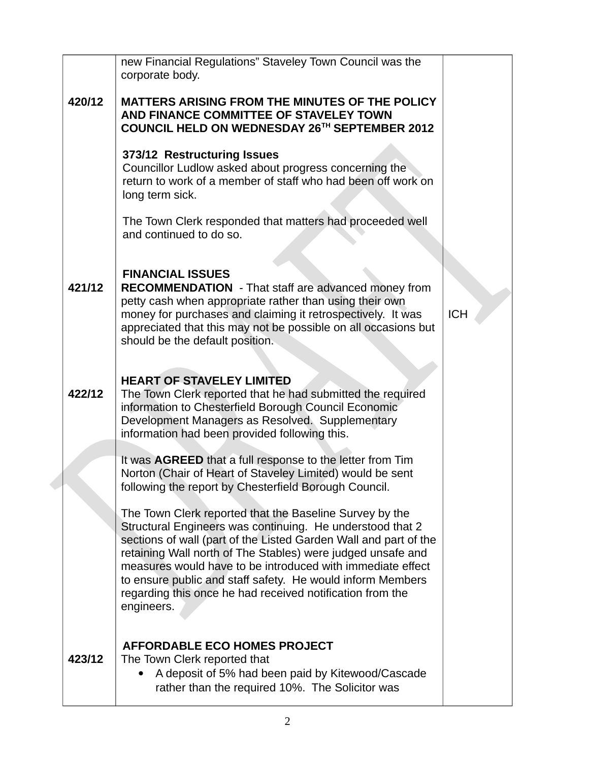|        | new Financial Regulations" Staveley Town Council was the                                                                                                                                                                                                                                                                                                                                                                                                       |            |
|--------|----------------------------------------------------------------------------------------------------------------------------------------------------------------------------------------------------------------------------------------------------------------------------------------------------------------------------------------------------------------------------------------------------------------------------------------------------------------|------------|
|        | corporate body.                                                                                                                                                                                                                                                                                                                                                                                                                                                |            |
| 420/12 | MATTERS ARISING FROM THE MINUTES OF THE POLICY<br>AND FINANCE COMMITTEE OF STAVELEY TOWN<br>COUNCIL HELD ON WEDNESDAY 26TH SEPTEMBER 2012                                                                                                                                                                                                                                                                                                                      |            |
|        | 373/12 Restructuring Issues<br>Councillor Ludlow asked about progress concerning the<br>return to work of a member of staff who had been off work on<br>long term sick.                                                                                                                                                                                                                                                                                        |            |
|        | The Town Clerk responded that matters had proceeded well<br>and continued to do so.                                                                                                                                                                                                                                                                                                                                                                            |            |
| 421/12 | <b>FINANCIAL ISSUES</b><br>RECOMMENDATION - That staff are advanced money from<br>petty cash when appropriate rather than using their own<br>money for purchases and claiming it retrospectively. It was<br>appreciated that this may not be possible on all occasions but<br>should be the default position.                                                                                                                                                  | <b>ICH</b> |
| 422/12 | <b>HEART OF STAVELEY LIMITED</b><br>The Town Clerk reported that he had submitted the required<br>information to Chesterfield Borough Council Economic<br>Development Managers as Resolved. Supplementary<br>information had been provided following this.                                                                                                                                                                                                     |            |
|        | It was AGREED that a full response to the letter from Tim<br>Norton (Chair of Heart of Staveley Limited) would be sent<br>following the report by Chesterfield Borough Council.                                                                                                                                                                                                                                                                                |            |
|        | The Town Clerk reported that the Baseline Survey by the<br>Structural Engineers was continuing. He understood that 2<br>sections of wall (part of the Listed Garden Wall and part of the<br>retaining Wall north of The Stables) were judged unsafe and<br>measures would have to be introduced with immediate effect<br>to ensure public and staff safety. He would inform Members<br>regarding this once he had received notification from the<br>engineers. |            |
| 423/12 | <b>AFFORDABLE ECO HOMES PROJECT</b><br>The Town Clerk reported that<br>A deposit of 5% had been paid by Kitewood/Cascade<br>rather than the required 10%. The Solicitor was                                                                                                                                                                                                                                                                                    |            |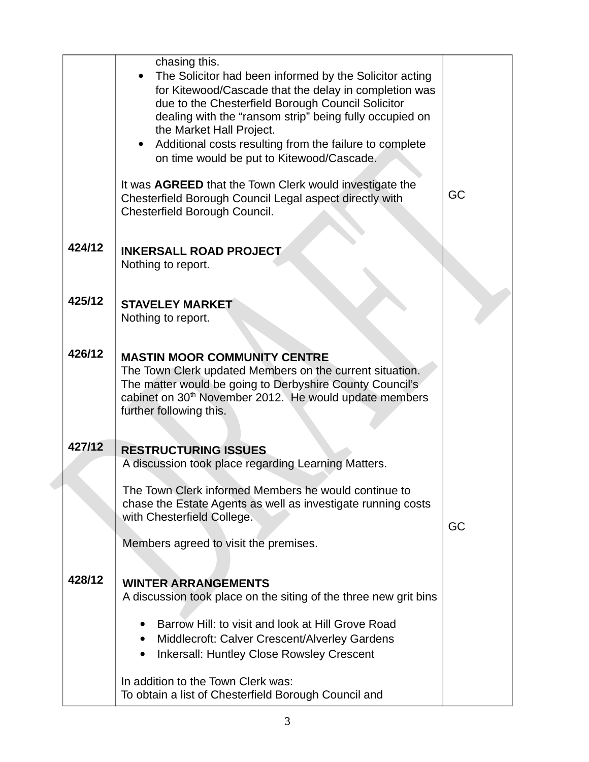|        | chasing this.<br>The Solicitor had been informed by the Solicitor acting<br>for Kitewood/Cascade that the delay in completion was<br>due to the Chesterfield Borough Council Solicitor<br>dealing with the "ransom strip" being fully occupied on<br>the Market Hall Project.<br>Additional costs resulting from the failure to complete<br>on time would be put to Kitewood/Cascade.<br>It was AGREED that the Town Clerk would investigate the<br>Chesterfield Borough Council Legal aspect directly with<br>Chesterfield Borough Council. | GC |
|--------|----------------------------------------------------------------------------------------------------------------------------------------------------------------------------------------------------------------------------------------------------------------------------------------------------------------------------------------------------------------------------------------------------------------------------------------------------------------------------------------------------------------------------------------------|----|
| 424/12 | <b>INKERSALL ROAD PROJECT</b><br>Nothing to report.                                                                                                                                                                                                                                                                                                                                                                                                                                                                                          |    |
| 425/12 | <b>STAVELEY MARKET</b><br>Nothing to report.                                                                                                                                                                                                                                                                                                                                                                                                                                                                                                 |    |
| 426/12 | <b>MASTIN MOOR COMMUNITY CENTRE</b><br>The Town Clerk updated Members on the current situation.<br>The matter would be going to Derbyshire County Council's<br>cabinet on 30 <sup>th</sup> November 2012. He would update members<br>further following this.                                                                                                                                                                                                                                                                                 |    |
| 427/12 | <b>RESTRUCTURING ISSUES</b><br>A discussion took place regarding Learning Matters.                                                                                                                                                                                                                                                                                                                                                                                                                                                           |    |
|        | The Town Clerk informed Members he would continue to<br>chase the Estate Agents as well as investigate running costs<br>with Chesterfield College.                                                                                                                                                                                                                                                                                                                                                                                           | GC |
|        | Members agreed to visit the premises.                                                                                                                                                                                                                                                                                                                                                                                                                                                                                                        |    |
| 428/12 | <b>WINTER ARRANGEMENTS</b><br>A discussion took place on the siting of the three new grit bins                                                                                                                                                                                                                                                                                                                                                                                                                                               |    |
|        | Barrow Hill: to visit and look at Hill Grove Road<br>Middlecroft: Calver Crescent/Alverley Gardens<br>$\bullet$<br><b>Inkersall: Huntley Close Rowsley Crescent</b><br>$\bullet$                                                                                                                                                                                                                                                                                                                                                             |    |
|        | In addition to the Town Clerk was:<br>To obtain a list of Chesterfield Borough Council and                                                                                                                                                                                                                                                                                                                                                                                                                                                   |    |